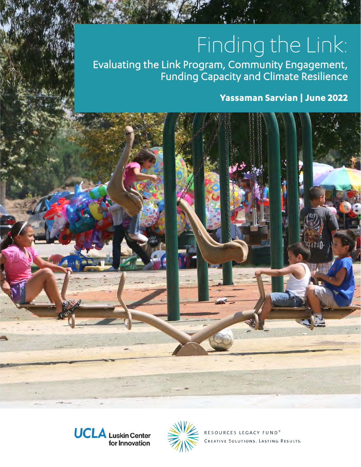# Finding the Link:

Evaluating the Link Program, Community Engagement, Funding Capacity and Climate Resilience

### **Yassaman Sarvian | June 2022**







RESOURCES LEGACY FUND<sup>®</sup> CREATIVE SOLUTIONS. LASTING RESULTS.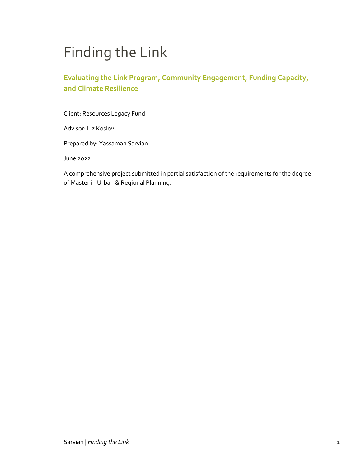# Finding the Link

### **Evaluating the Link Program, Community Engagement, Funding Capacity, and Climate Resilience**

Client: Resources Legacy Fund

Advisor: Liz Koslov

Prepared by: Yassaman Sarvian

June 2022

A comprehensive project submitted in partial satisfaction of the requirements for the degree of Master in Urban & Regional Planning.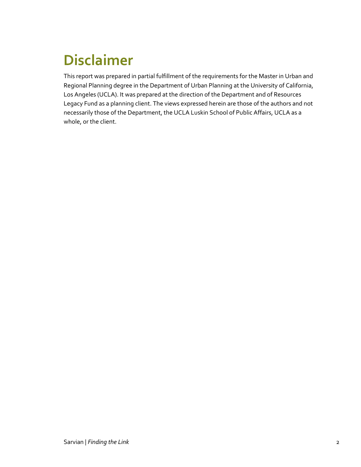# <span id="page-2-0"></span>**Disclaimer**

This report was prepared in partial fulfillment of the requirements for the Master in Urban and Regional Planning degree in the Department of Urban Planning at the University of California, Los Angeles (UCLA). It was prepared at the direction of the Department and of Resources Legacy Fund as a planning client. The views expressed herein are those of the authors and not necessarily those of the Department, the UCLA Luskin School of Public Affairs, UCLA as a whole, or the client.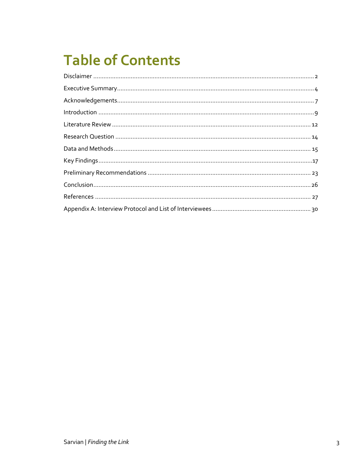# **Table of Contents**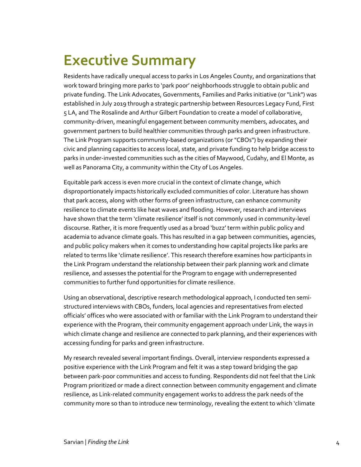# <span id="page-4-0"></span>**Executive Summary**

Residents have radically unequal access to parks in Los Angeles County, and organizations that work toward bringing more parks to 'park poor' neighborhoods struggle to obtain public and private funding. The Link Advocates, Governments, Families and Parks initiative (or "Link") was established in July 2019 through a strategic partnership between Resources Legacy Fund, First 5 LA, and The Rosalinde and Arthur Gilbert Foundation to create a model of collaborative, community-driven, meaningful engagement between community members, advocates, and government partners to build healthier communities through parks and green infrastructure. The Link Program supports community-based organizations (or "CBOs") by expanding their civic and planning capacities to access local, state, and private funding to help bridge access to parks in under-invested communities such as the cities of Maywood, Cudahy, and El Monte, as well as Panorama City, a community within the City of Los Angeles.

Equitable park access is even more crucial in the context of climate change, which disproportionately impacts historically excluded communities of color. Literature has shown that park access, along with other forms of green infrastructure, can enhance community resilience to climate events like heat waves and flooding. However, research and interviews have shown that the term 'climate resilience' itself is not commonly used in community-level discourse. Rather, it is more frequently used as a broad 'buzz' term within public policy and academia to advance climate goals. This has resulted in a gap between communities, agencies, and public policy makers when it comes to understanding how capital projects like parks are related to terms like 'climate resilience'. This research therefore examines how participants in the Link Program understand the relationship between their park planning work and climate resilience, and assesses the potential for the Program to engage with underrepresented communities to further fund opportunities for climate resilience.

Using an observational, descriptive research methodological approach, I conducted ten semistructured interviews with CBOs, funders, local agencies and representatives from elected officials' offices who were associated with or familiar with the Link Program to understand their experience with the Program, their community engagement approach under Link, the ways in which climate change and resilience are connected to park planning, and their experiences with accessing funding for parks and green infrastructure.

My research revealed several important findings. Overall, interview respondents expressed a positive experience with the Link Program and felt it was a step toward bridging the gap between park-poor communities and access to funding. Respondents did not feel that the Link Program prioritized or made a direct connection between community engagement and climate resilience, as Link-related community engagement works to address the park needs of the community more so than to introduce new terminology, revealing the extent to which 'climate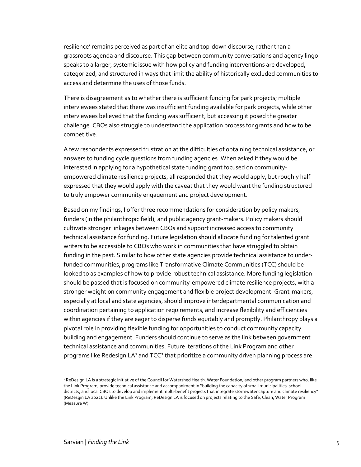resilience' remains perceived as part of an elite and top-down discourse, rather than a grassroots agenda and discourse. This gap between community conversations and agency lingo speaks to a larger, systemic issue with how policy and funding interventions are developed, categorized, and structured in ways that limit the ability of historically excluded communities to access and determine the uses of those funds.

There is disagreement as to whether there is sufficient funding for park projects; multiple interviewees stated that there was insufficient funding available for park projects, while other interviewees believed that the funding was sufficient, but accessing it posed the greater challenge. CBOs also struggle to understand the application process for grants and how to be competitive.

A few respondents expressed frustration at the difficulties of obtaining technical assistance, or answers to funding cycle questions from funding agencies. When asked if they would be interested in applying for a hypothetical state funding grant focused on communityempowered climate resilience projects, all responded that they would apply, but roughly half expressed that they would apply with the caveat that they would want the funding structured to truly empower community engagement and project development.

Based on my findings, I offer three recommendations for consideration by policy makers, funders (in the philanthropic field), and public agency grant-makers. Policy makers should cultivate stronger linkages between CBOs and support increased access to community technical assistance for funding. Future legislation should allocate funding for talented grant writers to be accessible to CBOs who work in communities that have struggled to obtain funding in the past. Similar to how other state agencies provide technical assistance to underfunded communities, programs like Transformative Climate Communities (TCC) should be looked to as examples of how to provide robust technical assistance. More funding legislation should be passed that is focused on community-empowered climate resilience projects, with a stronger weight on community engagement and flexible project development. Grant-makers, especially at local and state agencies, should improve interdepartmental communication and coordination pertaining to application requirements, and increase flexibility and efficiencies within agencies if they are eager to disperse funds equitably and promptly. Philanthropy plays a pivotal role in providing flexible funding for opportunities to conduct community capacity building and engagement. Funders should continue to serve as the link between government technical assistance and communities. Future iterations of the Link Program and other programs like Redesign LA<sup>[1](#page-5-0)</sup> and TCC<sup>[2](#page-5-1)</sup> that prioritize a community driven planning process are

<span id="page-5-1"></span><span id="page-5-0"></span><sup>&</sup>lt;sup>1</sup> ReDesign LA is a strategic initiative of the Council for Watershed Health, Water Foundation, and other program partners who, like the Link Program, provide technical assistance and accompaniment in "building the capacity of small municipalities, school districts, and local CBOs to develop and implement multi-benefit projects that integrate stormwater capture and climate resiliency" (ReDesgin LA 2022). Unlike the Link Program, ReDesign LA is focused on projects relating to the Safe, Clean, Water Program (Measure W).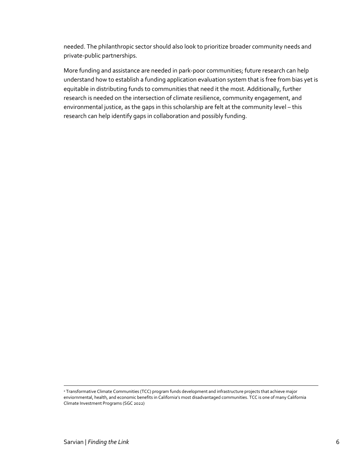needed. The philanthropic sector should also look to prioritize broader community needs and private-public partnerships.

More funding and assistance are needed in park-poor communities; future research can help understand how to establish a funding application evaluation system that is free from bias yet is equitable in distributing funds to communities that need it the most. Additionally, further research is needed on the intersection of climate resilience, community engagement, and environmental justice, as the gaps in this scholarship are felt at the community level – this research can help identify gaps in collaboration and possibly funding.

<sup>2</sup> Transformative Climate Communities (TCC) program funds development and infrastructure projects that achieve major enviornmental, health, and economic benefits in California's most disadvantaged communities. TCC is one of many California Climate Investment Programs (SGC 2022)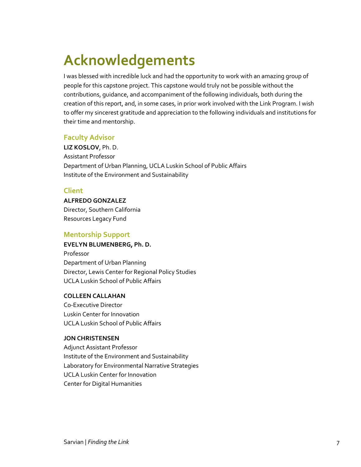# <span id="page-7-0"></span>**Acknowledgements**

I was blessed with incredible luck and had the opportunity to work with an amazing group of people for this capstone project. This capstone would truly not be possible without the contributions, guidance, and accompaniment of the following individuals, both during the creation of this report, and, in some cases, in prior work involved with the Link Program. I wish to offer my sincerest gratitude and appreciation to the following individuals and institutions for their time and mentorship.

### **Faculty Advisor**

**LIZ KOSLOV**, Ph. D. Assistant Professor Department of Urban Planning, UCLA Luskin School of Public Affairs Institute of the Environment and Sustainability

### **Client**

#### **ALFREDO GONZALEZ**

Director, Southern California Resources Legacy Fund

#### **Mentorship Support**

#### **EVELYN BLUMENBERG, Ph. D.**

Professor Department of Urban Planning Director, Lewis Center for Regional Policy Studies UCLA Luskin School of Public Affairs

#### **COLLEEN CALLAHAN**

Co-Executive Director Luskin Center for Innovation UCLA Luskin School of Public Affairs

#### **JON CHRISTENSEN**

Adjunct Assistant Professor Institute of the Environment and Sustainability Laboratory for Environmental Narrative Strategies UCLA Luskin Center for Innovation Center for Digital Humanities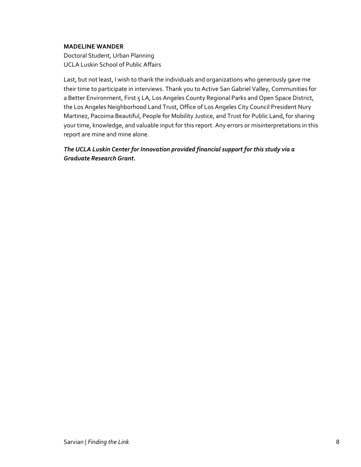#### **MADELINE WANDER**

Doctoral Student, Urban Planning UCLA Luskin School of Public Affairs

Last, but not least, I wish to thank the individuals and organizations who generously gave me their time to participate in interviews. Thank you to Active San Gabriel Valley, Communities for a Better Environment, First 5 LA, Los Angeles County Regional Parks and Open Space District, the Los Angeles Neighborhood Land Trust, Office of Los Angeles City Council President Nury Martinez, Pacoima Beautiful, People for Mobility Justice, and Trust for Public Land, for sharing your time, knowledge, and valuable input for this report. Any errors or misinterpretations in this report are mine and mine alone.

<span id="page-8-0"></span>*The UCLA Luskin Center for Innovation provided financial support for this study via a Graduate Research Grant.*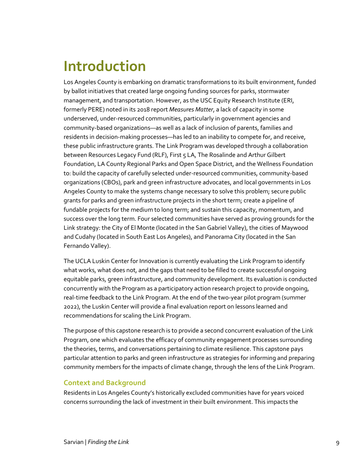### **Introduction**

Los Angeles County is embarking on dramatic transformations to its built environment, funded by ballot initiatives that created large ongoing funding sources for parks, stormwater management, and transportation. However, as the USC Equity Research Institute (ERI, formerly PERE) noted in its 2018 report *Measures Matter*, a lack of capacity in some underserved, under-resourced communities, particularly in government agencies and community-based organizations—as well as a lack of inclusion of parents, families and residents in decision-making processes—has led to an inability to compete for, and receive, these public infrastructure grants. The Link Program was developed through a collaboration between Resources Legacy Fund (RLF), First 5 LA, The Rosalinde and Arthur Gilbert Foundation, LA County Regional Parks and Open Space District, and the Wellness Foundation to: build the capacity of carefully selected under-resourced communities, community-based organizations (CBOs), park and green infrastructure advocates, and local governments in Los Angeles County to make the systems change necessary to solve this problem; secure public grants for parks and green infrastructure projects in the short term; create a pipeline of fundable projects for the medium to long term; and sustain this capacity, momentum, and success over the long term. Four selected communities have served as proving grounds for the Link strategy: the City of El Monte (located in the San Gabriel Valley), the cities of Maywood and Cudahy (located in South East Los Angeles), and Panorama City (located in the San Fernando Valley).

The UCLA Luskin Center for Innovation is currently evaluating the Link Program to identify what works, what does not, and the gaps that need to be filled to create successful ongoing equitable parks, green infrastructure, and community development. Its evaluation is conducted concurrently with the Program as a participatory action research project to provide ongoing, real-time feedback to the Link Program. At the end of the two-year pilot program (summer 2022), the Luskin Center will provide a final evaluation report on lessons learned and recommendations for scaling the Link Program.

The purpose of this capstone research is to provide a second concurrent evaluation of the Link Program, one which evaluates the efficacy of community engagement processes surrounding the theories, terms, and conversations pertaining to climate resilience. This capstone pays particular attention to parks and green infrastructure as strategies for informing and preparing community members for the impacts of climate change, through the lens of the Link Program.

### **Context and Background**

Residents in Los Angeles County's historically excluded communities have for years voiced concerns surrounding the lack of investment in their built environment. This impacts the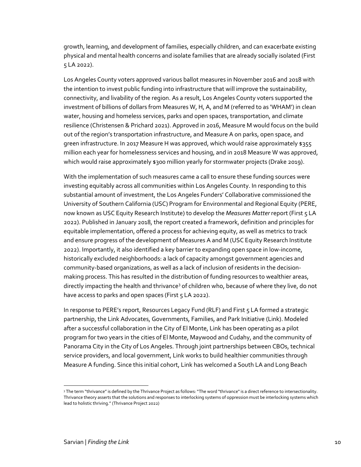growth, learning, and development of families, especially children, and can exacerbate existing physical and mental health concerns and isolate families that are already socially isolated (First 5 LA 2022).

Los Angeles County voters approved various ballot measures in November 2016 and 2018 with the intention to invest public funding into infrastructure that will improve the sustainability, connectivity, and livability of the region. As a result, Los Angeles County voters supported the investment of billions of dollars from Measures W, H, A, and M (referred to as 'WHAM') in clean water, housing and homeless services, parks and open spaces, transportation, and climate resilience (Christensen & Prichard 2021). Approved in 2016, Measure M would focus on the build out of the region's transportation infrastructure, and Measure A on parks, open space, and green infrastructure. In 2017 Measure H was approved, which would raise approximately \$355 million each year for homelessness services and housing, and in 2018 Measure W was approved, which would raise approximately \$300 million yearly for stormwater projects (Drake 2019).

With the implementation of such measures came a call to ensure these funding sources were investing equitably across all communities within Los Angeles County. In responding to this substantial amount of investment, the Los Angeles Funders' Collaborative commissioned the University of Southern California (USC) Program for Environmental and Regional Equity (PERE, now known as USC Equity Research Institute) to develop the *Measures Matter* report (First 5 LA 2022). Published in January 2018, the report created a framework, definition and principles for equitable implementation, offered a process for achieving equity, as well as metrics to track and ensure progress of the development of Measures A and M (USC Equity Research Institute 2022). Importantly, it also identified a key barrier to expanding open space in low-income, historically excluded neighborhoods: a lack of capacity amongst government agencies and community-based organizations, as well as a lack of inclusion of residents in the decisionmaking process. This has resulted in the distribution of funding resources to wealthier areas, directly impacting the health and thrivance<sup>[3](#page-10-0)</sup> of children who, because of where they live, do not have access to parks and open spaces (First 5 LA 2022).

In response to PERE's report, Resources Legacy Fund (RLF) and First 5 LA formed a strategic partnership, the Link Advocates, Governments, Families, and Park Initiative (Link). Modeled after a successful collaboration in the City of El Monte, Link has been operating as a pilot program for two years in the cities of El Monte, Maywood and Cudahy, and the community of Panorama City in the City of Los Angeles. Through joint partnerships between CBOs, technical service providers, and local government, Link works to build healthier communities through Measure A funding. Since this initial cohort, Link has welcomed a South LA and Long Beach

<span id="page-10-0"></span><sup>&</sup>lt;sup>3</sup> The term "thrivance" is defined by the Thrivance Project as follows: "The word "thrivance" is a direct reference to intersectionality. Thrivance theory asserts that the solutions and responses to interlocking systems of oppression must be interlocking systems which lead to holistic thriving." (Thrivance Project 2022)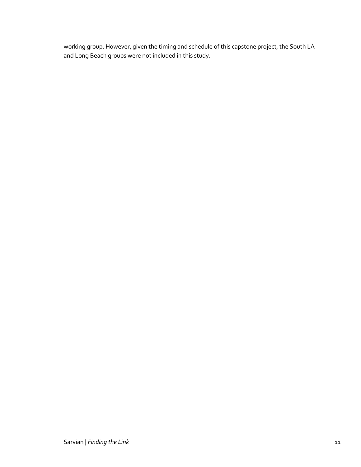<span id="page-11-0"></span>working group. However, given the timing and schedule of this capstone project, the South LA and Long Beach groups were not included in this study.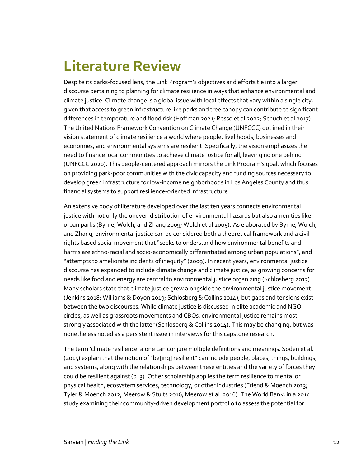### **Literature Review**

Despite its parks-focused lens, the Link Program's objectives and efforts tie into a larger discourse pertaining to planning for climate resilience in ways that enhance environmental and climate justice. Climate change is a global issue with local effects that vary within a single city, given that access to green infrastructure like parks and tree canopy can contribute to significant differences in temperature and flood risk (Hoffman 2021; Rosso et al 2022; Schuch et al 2017). The United Nations Framework Convention on Climate Change (UNFCCC) outlined in their vision statement of climate resilience a world where people, livelihoods, businesses and economies, and environmental systems are resilient. Specifically, the vision emphasizes the need to finance local communities to achieve climate justice for all, leaving no one behind (UNFCCC 2020). This people-centered approach mirrors the Link Program's goal, which focuses on providing park-poor communities with the civic capacity and funding sources necessary to develop green infrastructure for low-income neighborhoods in Los Angeles County and thus financial systems to support resilience-oriented infrastructure.

An extensive body of literature developed over the last ten years connects environmental justice with not only the uneven distribution of environmental hazards but also amenities like urban parks (Byrne, Wolch, and Zhang 2009; Wolch et al 2005). As elaborated by Byrne, Wolch, and Zhang, environmental justice can be considered both a theoretical framework and a civilrights based social movement that "seeks to understand how environmental benefits and harms are ethno-racial and socio-economically differentiated among urban populations", and "attempts to ameliorate incidents of inequity" (2009). In recent years, environmental justice discourse has expanded to include climate change and climate justice, as growing concerns for needs like food and energy are central to environmental justice organizing (Schlosberg 2013). Many scholars state that climate justice grew alongside the environmental justice movement (Jenkins 2018; Williams & Doyon 2019; Schlosberg & Collins 2014), but gaps and tensions exist between the two discourses. While climate justice is discussed in elite academic and NGO circles, as well as grassroots movements and CBOs, environmental justice remains most strongly associated with the latter (Schlosberg & Collins 2014). This may be changing, but was nonetheless noted as a persistent issue in interviews for this capstone research.

The term 'climate resilience' alone can conjure multiple definitions and meanings. Soden et al. (2015) explain that the notion of "be[ing] resilient" can include people, places, things, buildings, and systems, along with the relationships between these entities and the variety of forces they could be resilient against (p. 3). Other scholarship applies the term resilience to mental or physical health, ecosystem services, technology, or other industries (Friend & Moench 2013; Tyler & Moench 2012; Meerow & Stults 2016; Meerow et al. 2016). The World Bank, in a 2014 study examining their community-driven development portfolio to assess the potential for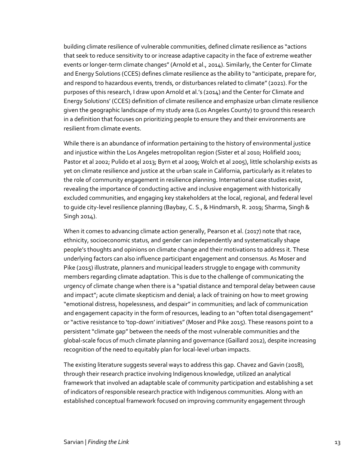building climate resilience of vulnerable communities, defined climate resilience as "actions that seek to reduce sensitivity to or increase adaptive capacity in the face of extreme weather events or longer-term climate changes" (Arnold et al., 2014). Similarly, the Center for Climate and Energy Solutions (CCES) defines climate resilience as the ability to "anticipate, prepare for, and respond to hazardous events, trends, or disturbances related to climate" (2021). For the purposes of this research, I draw upon Arnold et al.'s (2014) and the Center for Climate and Energy Solutions' (CCES) definition of climate resilience and emphasize urban climate resilience given the geographic landscape of my study area (Los Angeles County) to ground this research in a definition that focuses on prioritizing people to ensure they and their environments are resilient from climate events.

While there is an abundance of information pertaining to the history of environmental justice and injustice within the Los Angeles metropolitan region (Sister et al 2010; Holifield 2001; Pastor et al 2002; Pulido et al 2013; Byrn et al 2009; Wolch et al 2005), little scholarship exists as yet on climate resilience and justice at the urban scale in California, particularly as it relates to the role of community engagement in resilience planning. International case studies exist, revealing the importance of conducting active and inclusive engagement with historically excluded communities, and engaging key stakeholders at the local, regional, and federal level to guide city-level resilience planning (Baybay, C. S., & Hindmarsh, R. 2019; Sharma, Singh & Singh 2014).

When it comes to advancing climate action generally, Pearson et al. (2017) note that race, ethnicity, socioeconomic status, and gender can independently and systematically shape people's thoughts and opinions on climate change and their motivations to address it. These underlying factors can also influence participant engagement and consensus. As Moser and Pike (2015) illustrate, planners and municipal leaders struggle to engage with community members regarding climate adaptation. This is due to the challenge of communicating the urgency of climate change when there is a "spatial distance and temporal delay between cause and impact"; acute climate skepticism and denial; a lack of training on how to meet growing "emotional distress, hopelessness, and despair" in communities; and lack of communication and engagement capacity in the form of resources, leading to an "often total disengagement" or "active resistance to 'top-down' initiatives"(Moser and Pike 2015). These reasons point to a persistent "climate gap" between the needs of the most vulnerable communities and the global-scale focus of much climate planning and governance (Gaillard 2012), despite increasing recognition of the need to equitably plan for local-level urban impacts.

The existing literature suggests several ways to address this gap. Chavez and Gavin (2018), through their research practice involving Indigenous knowledge, utilized an analytical framework that involved an adaptable scale of community participation and establishing a set of indicators of responsible research practice with Indigenous communities. Along with an established conceptual framework focused on improving community engagement through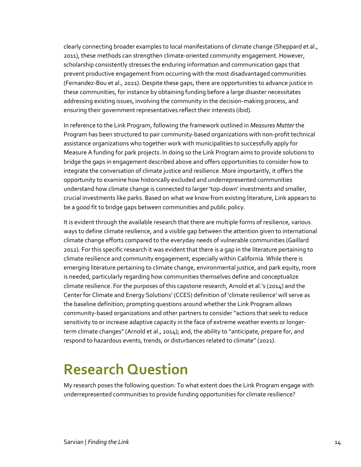clearly connecting broader examples to local manifestations of climate change (Sheppard et al., 2011), these methods can strengthen climate-oriented community engagement. However, scholarship consistently stresses the enduring information and communication gaps that prevent productive engagement from occurring with the most disadvantaged communities (Fernandez-Bou et al., 2021). Despite these gaps, there are opportunities to advance justice in these communities, for instance by obtaining funding before a large disaster necessitates addressing existing issues, involving the community in the decision-making process, and ensuring their government representatives reflect their interests (ibid).

In reference to the Link Program, following the framework outlined in *Measures Matter* the Program has been structured to pair community-based organizations with non-profit technical assistance organizations who together work with municipalities to successfully apply for Measure A funding for park projects. In doing so the Link Program aims to provide solutions to bridge the gaps in engagement described above and offers opportunities to consider how to integrate the conversation of climate justice and resilience. More importantly, it offers the opportunity to examine how historically excluded and underrepresented communities understand how climate change is connected to larger 'top-down' investments and smaller, crucial investments like parks. Based on what we know from existing literature, Link appears to be a good fit to bridge gaps between communities and public policy.

It is evident through the available research that there are multiple forms of resilience, various ways to define climate resilience, and a visible gap between the attention given to international climate change efforts compared to the everyday needs of vulnerable communities (Gaillard 2012). For this specific research it was evident that there is a gap in the literature pertaining to climate resilience and community engagement, especially within California. While there is emerging literature pertaining to climate change, environmental justice, and park equity, more is needed, particularly regarding how communities themselves define and conceptualize climate resilience. For the purposes of this capstone research, Arnold et al.'s (2014) and the Center for Climate and Energy Solutions' (CCES) definition of 'climate resilience' will serve as the baseline definition; prompting questions around whether the Link Program allows community-based organizations and other partners to consider "actions that seek to reduce sensitivity to or increase adaptive capacity in the face of extreme weather events or longerterm climate changes" (Arnold et al., 2014); and, the ability to "anticipate, prepare for, and respond to hazardous events, trends, or disturbances related to climate" (2021).

### <span id="page-14-0"></span>**Research Question**

<span id="page-14-1"></span>My research poses the following question: To what extent does the Link Program engage with underrepresented communities to provide funding opportunities for climate resilience?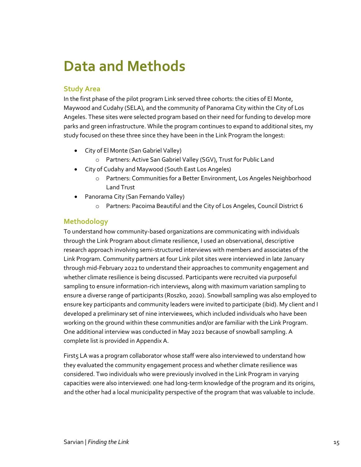### **Data and Methods**

### **Study Area**

In the first phase of the pilot program Link served three cohorts: the cities of El Monte, Maywood and Cudahy (SELA), and the community of Panorama City within the City of Los Angeles. These sites were selected program based on their need for funding to develop more parks and green infrastructure. While the program continues to expand to additional sites, my study focused on these three since they have been in the Link Program the longest:

- City of El Monte (San Gabriel Valley)
	- o Partners: Active San Gabriel Valley (SGV), Trust for Public Land
- City of Cudahy and Maywood (South East Los Angeles)
	- o Partners: Communities for a Better Environment, Los Angeles Neighborhood Land Trust
- Panorama City (San Fernando Valley)
	- o Partners: Pacoima Beautiful and the City of Los Angeles, Council District 6

### **Methodology**

To understand how community-based organizations are communicating with individuals through the Link Program about climate resilience, I used an observational, descriptive research approach involving semi-structured interviews with members and associates of the Link Program. Community partners at four Link pilot sites were interviewed in late January through mid-February 2022 to understand their approaches to community engagement and whether climate resilience is being discussed. Participants were recruited via purposeful sampling to ensure information-rich interviews, along with maximum variation sampling to ensure a diverse range of participants (Roszko, 2020). Snowball sampling was also employed to ensure key participants and community leaders were invited to participate (ibid). My client and I developed a preliminary set of nine interviewees, which included individuals who have been working on the ground within these communities and/or are familiar with the Link Program. One additional interview was conducted in May 2022 because of snowball sampling. A complete list is provided in Appendix A.

First5 LA was a program collaborator whose staff were also interviewed to understand how they evaluated the community engagement process and whether climate resilience was considered. Two individuals who were previously involved in the Link Program in varying capacities were also interviewed: one had long-term knowledge of the program and its origins, and the other had a local municipality perspective of the program that was valuable to include.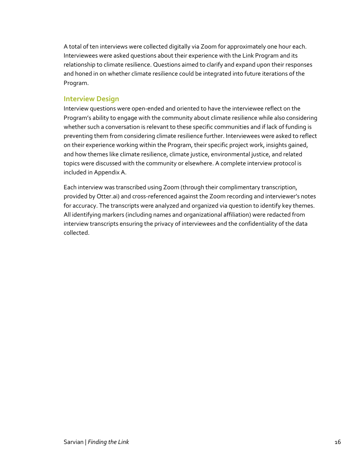A total of ten interviews were collected digitally via Zoom for approximately one hour each. Interviewees were asked questions about their experience with the Link Program and its relationship to climate resilience. Questions aimed to clarify and expand upon their responses and honed in on whether climate resilience could be integrated into future iterations of the Program.

#### **Interview Design**

Interview questions were open-ended and oriented to have the interviewee reflect on the Program's ability to engage with the community about climate resilience while also considering whether such a conversation is relevant to these specific communities and if lack of funding is preventing them from considering climate resilience further. Interviewees were asked to reflect on their experience working within the Program, their specific project work, insights gained, and how themes like climate resilience, climate justice, environmental justice, and related topics were discussed with the community or elsewhere. A complete interview protocol is included in Appendix A.

Each interview was transcribed using Zoom (through their complimentary transcription, provided by Otter.ai) and cross-referenced against the Zoom recording and interviewer's notes for accuracy. The transcripts were analyzed and organized via question to identify key themes. All identifying markers (including names and organizational affiliation) were redacted from interview transcripts ensuring the privacy of interviewees and the confidentiality of the data collected.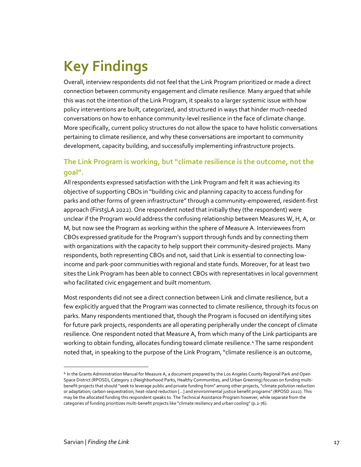# <span id="page-17-0"></span>**Key Findings**

Overall, interview respondents did not feel that the Link Program prioritized or made a direct connection between community engagement and climate resilience. Many argued that while this was not the intention of the Link Program, it speaks to a larger systemic issue with how policy interventions are built, categorized, and structured in ways that hinder much-needed conversations on how to enhance community-level resilience in the face of climate change. More specifically, current policy structures do not allow the space to have holistic conversations pertaining to climate resilience, and why these conversations are important to community development, capacity building, and successfully implementing infrastructure projects.

### **The Link Program is working, but "climate resilience is the outcome, not the goal".**

All respondents expressed satisfaction with the Link Program and felt it was achieving its objective of supporting CBOs in "building civic and planning capacity to access funding for parks and other forms of green infrastructure" through a community-empowered, resident-first approach (First5LA 2022). One respondent noted that initially they (the respondent) were unclear if the Program would address the confusing relationship between Measures W, H, A, or M, but now see the Program as working within the sphere of Measure A. Interviewees from CBOs expressed gratitude for the Program's support through funds and by connecting them with organizations with the capacity to help support their community-desired projects. Many respondents, both representing CBOs and not, said that Link is essential to connecting lowincome and park-poor communities with regional and state funds. Moreover, for at least two sites the Link Program has been able to connect CBOs with representatives in local government who facilitated civic engagement and built momentum.

Most respondents did not see a direct connection between Link and climate resilience, but a few explicitly argued that the Program was connected to climate resilience, through its focus on parks. Many respondents mentioned that, though the Program is focused on identifying sites for future park projects, respondents are all operating peripherally under the concept of climate resilience. One respondent noted that Measure A, from which many of the Link participants are working to obtain funding, allocates funding toward climate resilience[.4](#page-17-1) The same respondent noted that, in speaking to the purpose of the Link Program, "climate resilience is an outcome,

<span id="page-17-1"></span><sup>4</sup> In the Grants Administration Manual for Measure A, a document prepared by the Los Angeles County Regional Park and Open Space District (RPOSD), Category 2 (Neighborhood Parks, Healthy Communities, and Urban Greening) focuses on funding multibenefit projects that should "seek to leverage public and private funding from" among other projects, "climate pollution reduction or adaptation; carbon sequestration; heat-island reduction […] and environmental justice benefit programs" (RPOSD 2022). This may be the allocated funding this respondent speaks to. The Technical Assistance Program however, while separate from the categories of funding prioritizes multi-benefit projects like "climate resiliency and urban cooling" (p.2-76).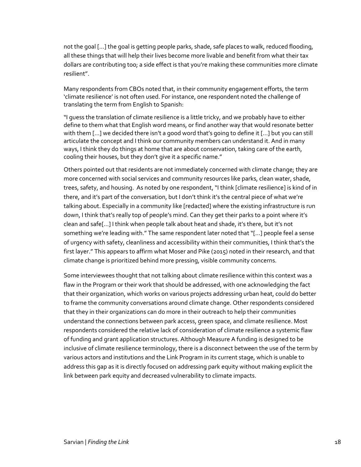not the goal […] the goal is getting people parks, shade, safe places to walk, reduced flooding, all these things that will help their lives become more livable and benefit from what their tax dollars are contributing too; a side effect is that you're making these communities more climate resilient".

Many respondents from CBOs noted that, in their community engagement efforts, the term 'climate resilience' is not often used. For instance, one respondent noted the challenge of translating the term from English to Spanish:

"I guess the translation of climate resilience is a little tricky, and we probably have to either define to them what that English word means, or find another way that would resonate better with them […] we decided there isn't a good word that's going to define it […] but you can still articulate the concept and I think our community members can understand it. And in many ways, I think they do things at home that are about conservation, taking care of the earth, cooling their houses, but they don't give it a specific name."

Others pointed out that residents are not immediately concerned with climate change; they are more concerned with social services and community resources like parks, clean water, shade, trees, safety, and housing. As noted by one respondent, "I think [climate resilience] is kind of in there, and it's part of the conversation, but I don't think it's the central piece of what we're talking about. Especially in a community like [redacted] where the existing infrastructure is run down, I think that's really top of people's mind. Can they get their parks to a point where it's clean and safe[...] I think when people talk about heat and shade, it's there, but it's not something we're leading with." The same respondent later noted that "[…] people feel a sense of urgency with safety, cleanliness and accessibility within their communities, I think that's the first layer." This appears to affirm what Moser and Pike (2015) noted in their research, and that climate change is prioritized behind more pressing, visible community concerns.

Some interviewees thought that not talking about climate resilience within this context was a flaw in the Program or their work that should be addressed, with one acknowledging the fact that their organization, which works on various projects addressing urban heat, could do better to frame the community conversations around climate change. Other respondents considered that they in their organizations can do more in their outreach to help their communities understand the connections between park access, green space, and climate resilience. Most respondents considered the relative lack of consideration of climate resilience a systemic flaw of funding and grant application structures. Although Measure A funding is designed to be inclusive of climate resilience terminology, there is a disconnect between the use of the term by various actors and institutions and the Link Program in its current stage, which is unable to address this gap as it is directly focused on addressing park equity without making explicit the link between park equity and decreased vulnerability to climate impacts.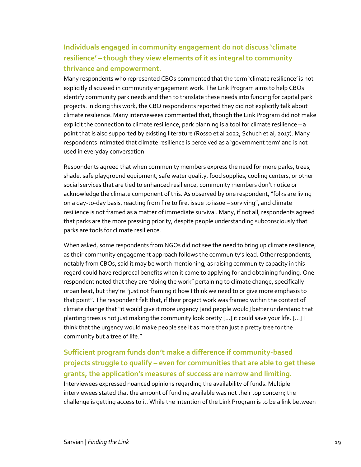### **Individuals engaged in community engagement do not discuss 'climate resilience' – though they view elements of it as integral to community thrivance and empowerment.**

Many respondents who represented CBOs commented that the term 'climate resilience' is not explicitly discussed in community engagement work. The Link Program aims to help CBOs identify community park needs and then to translate these needs into funding for capital park projects. In doing this work, the CBO respondents reported they did not explicitly talk about climate resilience. Many interviewees commented that, though the Link Program did not make explicit the connection to climate resilience, park planning is a tool for climate resilience – a point that is also supported by existing literature (Rosso et al 2022; Schuch et al, 2017). Many respondents intimated that climate resilience is perceived as a 'government term' and is not used in everyday conversation.

Respondents agreed that when community members express the need for more parks, trees, shade, safe playground equipment, safe water quality, food supplies, cooling centers, or other social services that are tied to enhanced resilience, community members don't notice or acknowledge the climate component of this. As observed by one respondent, "folks are living on a day-to-day basis, reacting from fire to fire, issue to issue – surviving", and climate resilience is not framed as a matter of immediate survival. Many, if not all, respondents agreed that parks are the more pressing priority, despite people understanding subconsciously that parks are tools for climate resilience.

When asked, some respondents from NGOs did not see the need to bring up climate resilience, as their community engagement approach follows the community's lead. Other respondents, notably from CBOs, said it may be worth mentioning, as raising community capacity in this regard could have reciprocal benefits when it came to applying for and obtaining funding. One respondent noted that they are "doing the work" pertaining to climate change, specifically urban heat, but they're "just not framing it how I think we need to or give more emphasis to that point". The respondent felt that, if their project work was framed within the context of climate change that "it would give it more urgency [and people would] better understand that planting trees is not just making the community look pretty […] it could save your life. […] I think that the urgency would make people see it as more than just a pretty tree for the community but a tree of life."

**Sufficient program funds don't make a difference if community-based projects struggle to qualify – even for communities that are able to get these grants, the application's measures of success are narrow and limiting.** Interviewees expressed nuanced opinions regarding the availability of funds. Multiple interviewees stated that the amount of funding available was not their top concern; the challenge is getting access to it. While the intention of the Link Program is to be a link between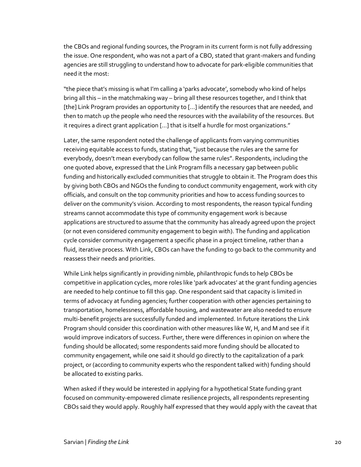the CBOs and regional funding sources, the Program in its current form is not fully addressing the issue. One respondent, who was not a part of a CBO, stated that grant-makers and funding agencies are still struggling to understand how to advocate for park-eligible communities that need it the most:

"the piece that's missing is what I'm calling a 'parks advocate', somebody who kind of helps bring all this – in the matchmaking way – bring all these resources together, and I think that [the] Link Program provides an opportunity to […] identify the resources that are needed, and then to match up the people who need the resources with the availability of the resources. But it requires a direct grant application […] that is itself a hurdle for most organizations."

Later, the same respondent noted the challenge of applicants from varying communities receiving equitable access to funds, stating that, "just because the rules are the same for everybody, doesn't mean everybody can follow the same rules". Respondents, including the one quoted above, expressed that the Link Program fills a necessary gap between public funding and historically excluded communities that struggle to obtain it. The Program does this by giving both CBOs and NGOs the funding to conduct community engagement, work with city officials, and consult on the top community priorities and how to access funding sources to deliver on the community's vision. According to most respondents, the reason typical funding streams cannot accommodate this type of community engagement work is because applications are structured to assume that the community has already agreed upon the project (or not even considered community engagement to begin with). The funding and application cycle consider community engagement a specific phase in a project timeline, rather than a fluid, iterative process. With Link, CBOs can have the funding to go back to the community and reassess their needs and priorities.

While Link helps significantly in providing nimble, philanthropic funds to help CBOs be competitive in application cycles, more roles like 'park advocates' at the grant funding agencies are needed to help continue to fill this gap. One respondent said that capacity is limited in terms of advocacy at funding agencies; further cooperation with other agencies pertaining to transportation, homelessness, affordable housing, and wastewater are also needed to ensure multi-benefit projects are successfully funded and implemented. In future iterations the Link Program should consider this coordination with other measures like W, H, and M and see if it would improve indicators of success. Further, there were differences in opinion on where the funding should be allocated; some respondents said more funding should be allocated to community engagement, while one said it should go directly to the capitalization of a park project, or (according to community experts who the respondent talked with) funding should be allocated to existing parks.

When asked if they would be interested in applying for a hypothetical State funding grant focused on community-empowered climate resilience projects, all respondents representing CBOs said they would apply. Roughly half expressed that they would apply with the caveat that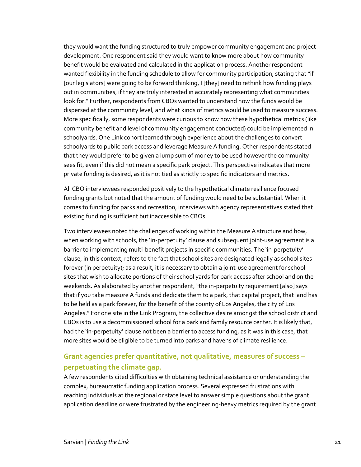they would want the funding structured to truly empower community engagement and project development. One respondent said they would want to know more about how community benefit would be evaluated and calculated in the application process. Another respondent wanted flexibility in the funding schedule to allow for community participation, stating that "if [our legislators] were going to be forward thinking, I [they] need to rethink how funding plays out in communities, if they are truly interested in accurately representing what communities look for." Further, respondents from CBOs wanted to understand how the funds would be dispersed at the community level, and what kinds of metrics would be used to measure success. More specifically, some respondents were curious to know how these hypothetical metrics (like community benefit and level of community engagement conducted) could be implemented in schoolyards. One Link cohort learned through experience about the challenges to convert schoolyards to public park access and leverage Measure A funding. Other respondents stated that they would prefer to be given a lump sum of money to be used however the community sees fit, even if this did not mean a specific park project. This perspective indicates that more private funding is desired, as it is not tied as strictly to specific indicators and metrics.

All CBO interviewees responded positively to the hypothetical climate resilience focused funding grants but noted that the amount of funding would need to be substantial. When it comes to funding for parks and recreation, interviews with agency representatives stated that existing funding is sufficient but inaccessible to CBOs.

Two interviewees noted the challenges of working within the Measure A structure and how, when working with schools, the 'in-perpetuity' clause and subsequent joint-use agreement is a barrier to implementing multi-benefit projects in specific communities. The 'in-perpetuity' clause, in this context, refers to the fact that school sites are designated legally as school sites forever (in perpetuity); as a result, it is necessary to obtain a joint-use agreement for school sites that wish to allocate portions of their school yards for park access after school and on the weekends. As elaborated by another respondent, "the in-perpetuity requirement [also] says that if you take measure A funds and dedicate them to a park, that capital project, that land has to be held as a park forever, for the benefit of the county of Los Angeles, the city of Los Angeles." For one site in the Link Program, the collective desire amongst the school district and CBOs is to use a decommissioned school for a park and family resource center. It is likely that, had the 'in-perpetuity' clause not been a barrier to access funding, as it was in this case, that more sites would be eligible to be turned into parks and havens of climate resilience.

### **Grant agencies prefer quantitative, not qualitative, measures of success – perpetuating the climate gap.**

A few respondents cited difficulties with obtaining technical assistance or understanding the complex, bureaucratic funding application process. Several expressed frustrations with reaching individuals at the regional or state level to answer simple questions about the grant application deadline or were frustrated by the engineering-heavy metrics required by the grant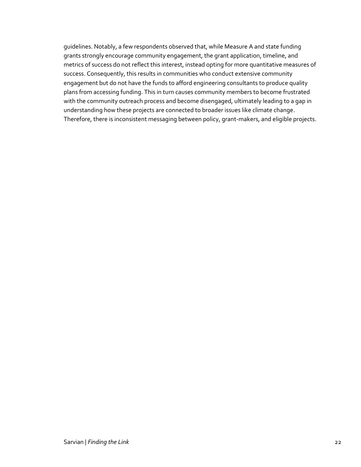<span id="page-22-0"></span>guidelines. Notably, a few respondents observed that, while Measure A and state funding grants strongly encourage community engagement, the grant application, timeline, and metrics of success do not reflect this interest, instead opting for more quantitative measures of success. Consequently, this results in communities who conduct extensive community engagement but do not have the funds to afford engineering consultants to produce quality plans from accessing funding. This in turn causes community members to become frustrated with the community outreach process and become disengaged, ultimately leading to a gap in understanding how these projects are connected to broader issues like climate change. Therefore, there is inconsistent messaging between policy, grant-makers, and eligible projects.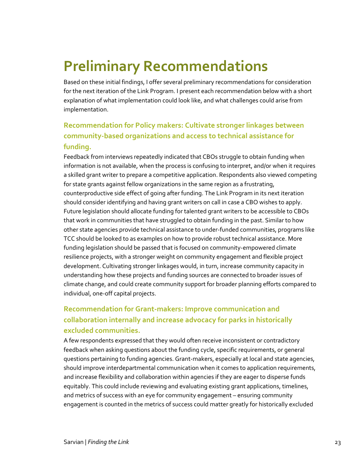# **Preliminary Recommendations**

Based on these initial findings, I offer several preliminary recommendations for consideration for the next iteration of the Link Program. I present each recommendation below with a short explanation of what implementation could look like, and what challenges could arise from implementation.

### **Recommendation for Policy makers: Cultivate stronger linkages between community-based organizations and access to technical assistance for funding.**

Feedback from interviews repeatedly indicated that CBOs struggle to obtain funding when information is not available, when the process is confusing to interpret, and/or when it requires a skilled grant writer to prepare a competitive application. Respondents also viewed competing for state grants against fellow organizations in the same region as a frustrating, counterproductive side effect of going after funding. The Link Program in its next iteration should consider identifying and having grant writers on call in case a CBO wishes to apply. Future legislation should allocate funding for talented grant writers to be accessible to CBOs that work in communities that have struggled to obtain funding in the past. Similar to how other state agencies provide technical assistance to under-funded communities, programs like TCC should be looked to as examples on how to provide robust technical assistance. More funding legislation should be passed that is focused on community-empowered climate resilience projects, with a stronger weight on community engagement and flexible project development. Cultivating stronger linkages would, in turn, increase community capacity in understanding how these projects and funding sources are connected to broader issues of climate change, and could create community support for broader planning efforts compared to individual, one-off capital projects.

### **Recommendation for Grant-makers: Improve communication and collaboration internally and increase advocacy for parks in historically excluded communities.**

A few respondents expressed that they would often receive inconsistent or contradictory feedback when asking questions about the funding cycle, specific requirements, or general questions pertaining to funding agencies. Grant-makers, especially at local and state agencies, should improve interdepartmental communication when it comes to application requirements, and increase flexibility and collaboration within agencies if they are eager to disperse funds equitably. This could include reviewing and evaluating existing grant applications, timelines, and metrics of success with an eye for community engagement – ensuring community engagement is counted in the metrics of success could matter greatly for historically excluded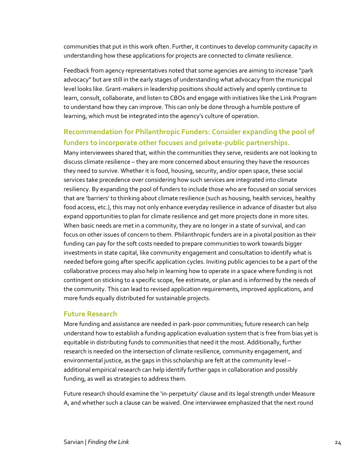communities that put in this work often. Further, it continues to develop community capacity in understanding how these applications for projects are connected to climate resilience.

Feedback from agency representatives noted that some agencies are aiming to increase "park advocacy" but are still in the early stages of understanding what advocacy from the municipal level looks like. Grant-makers in leadership positions should actively and openly continue to learn, consult, collaborate, and listen to CBOs and engage with initiatives like the Link Program to understand how they can improve. This can only be done through a humble posture of learning, which must be integrated into the agency's culture of operation.

### **Recommendation for Philanthropic Funders: Consider expanding the pool of funders to incorporate other focuses and private-public partnerships.**

Many interviewees shared that, within the communities they serve, residents are not looking to discuss climate resilience – they are more concerned about ensuring they have the resources they need to survive. Whether it is food, housing, security, and/or open space, these social services take precedence over considering how such services are integrated into climate resiliency. By expanding the pool of funders to include those who are focused on social services that are 'barriers' to thinking about climate resilience (such as housing, health services, healthy food access, etc.), this may not only enhance everyday resilience in advance of disaster but also expand opportunities to plan for climate resilience and get more projects done in more sites. When basic needs are met in a community, they are no longer in a state of survival, and can focus on other issues of concern to them. Philanthropic funders are in a pivotal position as their funding can pay for the soft costs needed to prepare communities to work towards bigger investments in state capital, like community engagement and consultation to identify what is needed before going after specific application cycles. Inviting public agencies to be a part of the collaborative process may also help in learning how to operate in a space where funding is not contingent on sticking to a specific scope, fee estimate, or plan and is informed by the needs of the community. This can lead to revised application requirements, improved applications, and more funds equally distributed for sustainable projects.

### **Future Research**

More funding and assistance are needed in park-poor communities; future research can help understand how to establish a funding application evaluation system that is free from bias yet is equitable in distributing funds to communities that need it the most. Additionally, further research is needed on the intersection of climate resilience, community engagement, and environmental justice, as the gaps in this scholarship are felt at the community level – additional empirical research can help identify further gaps in collaboration and possibly funding, as well as strategies to address them.

Future research should examine the 'in-perpetuity' clause and its legal strength under Measure A, and whether such a clause can be waived. One interviewee emphasized that the next round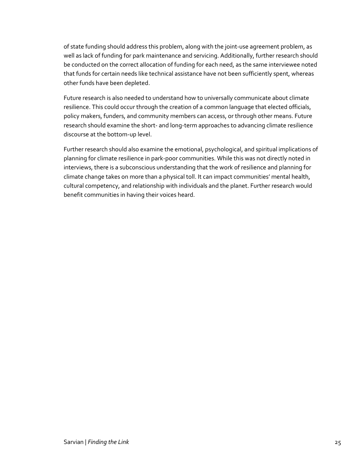of state funding should address this problem, along with the joint-use agreement problem, as well as lack of funding for park maintenance and servicing. Additionally, further research should be conducted on the correct allocation of funding for each need, as the same interviewee noted that funds for certain needs like technical assistance have not been sufficiently spent, whereas other funds have been depleted.

Future research is also needed to understand how to universally communicate about climate resilience. This could occur through the creation of a common language that elected officials, policy makers, funders, and community members can access, or through other means. Future research should examine the short- and long-term approaches to advancing climate resilience discourse at the bottom-up level.

<span id="page-25-0"></span>Further research should also examine the emotional, psychological, and spiritual implications of planning for climate resilience in park-poor communities. While this was not directly noted in interviews, there is a subconscious understanding that the work of resilience and planning for climate change takes on more than a physical toll. It can impact communities' mental health, cultural competency, and relationship with individuals and the planet. Further research would benefit communities in having their voices heard.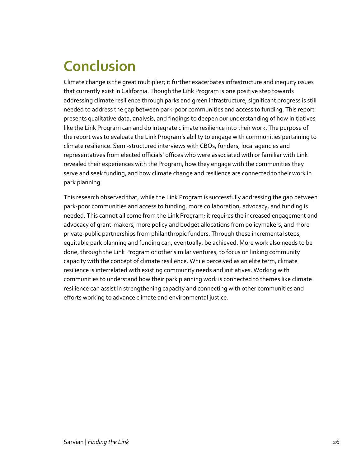# **Conclusion**

Climate change is the great multiplier; it further exacerbates infrastructure and inequity issues that currently exist in California. Though the Link Program is one positive step towards addressing climate resilience through parks and green infrastructure, significant progress is still needed to address the gap between park-poor communities and access to funding. This report presents qualitative data, analysis, and findings to deepen our understanding of how initiatives like the Link Program can and do integrate climate resilience into their work. The purpose of the report was to evaluate the Link Program's ability to engage with communities pertaining to climate resilience. Semi-structured interviews with CBOs, funders, local agencies and representatives from elected officials' offices who were associated with or familiar with Link revealed their experiences with the Program, how they engage with the communities they serve and seek funding, and how climate change and resilience are connected to their work in park planning.

<span id="page-26-0"></span>This research observed that, while the Link Program is successfully addressing the gap between park-poor communities and access to funding, more collaboration, advocacy, and funding is needed. This cannot all come from the Link Program; it requires the increased engagement and advocacy of grant-makers, more policy and budget allocations from policymakers, and more private-public partnerships from philanthropic funders. Through these incremental steps, equitable park planning and funding can, eventually, be achieved. More work also needs to be done, through the Link Program or other similar ventures, to focus on linking community capacity with the concept of climate resilience. While perceived as an elite term, climate resilience is interrelated with existing community needs and initiatives. Working with communities to understand how their park planning work is connected to themes like climate resilience can assist in strengthening capacity and connecting with other communities and efforts working to advance climate and environmental justice.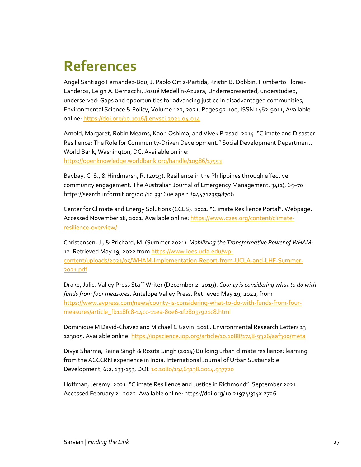### **References**

Angel Santiago Fernandez-Bou, J. Pablo Ortiz-Partida, Kristin B. Dobbin, Humberto Flores-Landeros, Leigh A. Bernacchi, Josué Medellín-Azuara, Underrepresented, understudied, underserved: Gaps and opportunities for advancing justice in disadvantaged communities, Environmental Science & Policy, Volume 122, 2021, Pages 92-100, ISSN 1462-9011, Available online[: https://doi.org/10.1016/j.envsci.2021.04.014.](https://doi.org/10.1016/j.envsci.2021.04.014)

Arnold, Margaret, Robin Mearns, Kaori Oshima, and Vivek Prasad. 2014. "Climate and Disaster Resilience: The Role for Community-Driven Development." Social Development Department. World Bank, Washington, DC. Available online:

<https://openknowledge.worldbank.org/handle/10986/17553>

Baybay, C. S., & Hindmarsh, R. (2019). Resilience in the Philippines through effective community engagement. The Australian Journal of Emergency Management, 34(1), 65–70. https://search.informit.org/doi/10.3316/ielapa.189447123598706

Center for Climate and Energy Solutions (CCES). 2021. "Climate Resilience Portal". Webpage. Accessed November 18, 2021. Available online: [https://www.c2es.org/content/climate](https://www.c2es.org/content/climate-resilience-overview/)[resilience-overview/.](https://www.c2es.org/content/climate-resilience-overview/)

Christensen, J., & Prichard, M. (Summer 2021). *Mobilizing the Transformative Power of WHAM:* 12. Retrieved May 19, 2022 fro[m https://www.ioes.ucla.edu/wp](https://www.ioes.ucla.edu/wp-content/uploads/2021/05/WHAM-Implementation-Report-from-UCLA-and-LHF-Summer-2021.pdf)[content/uploads/2021/05/WHAM-Implementation-Report-from-UCLA-and-LHF-Summer-](https://www.ioes.ucla.edu/wp-content/uploads/2021/05/WHAM-Implementation-Report-from-UCLA-and-LHF-Summer-2021.pdf)[2021.pdf](https://www.ioes.ucla.edu/wp-content/uploads/2021/05/WHAM-Implementation-Report-from-UCLA-and-LHF-Summer-2021.pdf) 

Drake, Julie. Valley Press Staff Writer (December 2, 2019). *County is considering what to do with funds from four measures*. Antelope Valley Press. Retrieved May 19, 2022, from [https://www.avpress.com/news/county-is-considering-what-to-do-with-funds-from-four](https://www.avpress.com/news/county-is-considering-what-to-do-with-funds-from-four-measures/article_fb118fc8-14cc-11ea-80e6-1f28037921c8.html)[measures/article\\_fb118fc8-14cc-11ea-80e6-1f28037921c8.html](https://www.avpress.com/news/county-is-considering-what-to-do-with-funds-from-four-measures/article_fb118fc8-14cc-11ea-80e6-1f28037921c8.html)

Dominique M David-Chavez and Michael C Gavin. 2018. Environmental Research Letters 13 123005. Available online[: https://iopscience.iop.org/article/10.1088/1748-9326/aaf300/meta](https://iopscience.iop.org/article/10.1088/1748-9326/aaf300/meta) 

Divya Sharma, Raina Singh & Rozita Singh (2014) Building urban climate resilience: learning from the ACCCRN experience in India, International Journal of Urban Sustainable Development, 6:2, 133-153, DOI: [10.1080/19463138.2014.937720](https://doi.org/10.1080/19463138.2014.937720)

Hoffman, Jeremy. 2021. "Climate Resilience and Justice in Richmond". September 2021. Accessed February 21 2022. Available online: https://doi.org/10.21974/3t4x-z726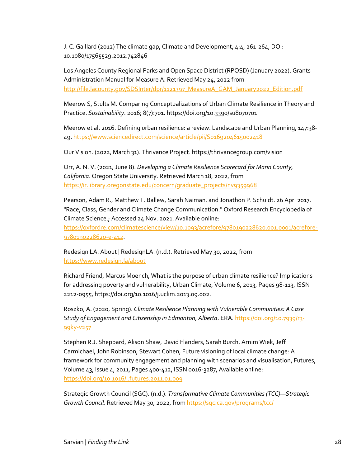J. C. Gaillard (2012) The climate gap, Climate and Development, 4:4, 261-264, DOI: 10.1080/17565529.2012.742846

Los Angeles County Regional Parks and Open Space District (RPOSD) (January 2022). Grants Administration Manual for Measure A. Retrieved May 24, 2022 from [http://file.lacounty.gov/SDSInter/dpr/1121397\\_MeasureA\\_GAM\\_January2022\\_Edition.pdf](http://file.lacounty.gov/SDSInter/dpr/1121397_MeasureA_GAM_January2022_Edition.pdf) 

Meerow S, Stults M. Comparing Conceptualizations of Urban Climate Resilience in Theory and Practice. *Sustainability*. 2016; 8(7):701. https://doi.org/10.3390/su8070701

Meerow et al. 2016. Defining urban resilience: a review. Landscape and Urban Planning, 147:38- 49[. https://www.sciencedirect.com/science/article/pii/S0169204615002418](https://www.sciencedirect.com/science/article/pii/S0169204615002418) 

Our Vision. (2022, March 31). Thrivance Project. https://thrivancegroup.com/vision

Orr, A. N. V. (2021, June 8). *Developing a Climate Resilience Scorecard for Marin County, California*. Oregon State University. Retrieved March 18, 2022, from [https://ir.library.oregonstate.edu/concern/graduate\\_projects/nv9359968](https://ir.library.oregonstate.edu/concern/graduate_projects/nv9359968) 

Pearson, Adam R., Matthew T. Ballew, Sarah Naiman, and Jonathon P. Schuldt. 26 Apr. 2017. "Race, Class, Gender and Climate Change Communication." Oxford Research Encyclopedia of Climate Science.; Accessed 24 Nov. 2021. Available online: [https://oxfordre.com/climatescience/view/10.1093/acrefore/9780190228620.001.0001/acrefore-](https://oxfordre.com/climatescience/view/10.1093/acrefore/9780190228620.001.0001/acrefore-9780190228620-e-412)

[9780190228620-e-412.](https://oxfordre.com/climatescience/view/10.1093/acrefore/9780190228620.001.0001/acrefore-9780190228620-e-412)

Redesign LA. About | RedesignLA. (n.d.). Retrieved May 30, 2022, from <https://www.redesign.la/about>

Richard Friend, Marcus Moench, What is the purpose of urban climate resilience? Implications for addressing poverty and vulnerability, Urban Climate, Volume 6, 2013, Pages 98-113, ISSN 2212-0955, https://doi.org/10.1016/j.uclim.2013.09.002.

Roszko, A. (2020, Spring). *Climate Resilience Planning with Vulnerable Communities: A Case Study of Engagement and Citizenship in Edmonton, Alberta*. ERA[. https://doi.org/10.7939/r3-](https://doi.org/10.7939/r3-99ky-v257) [99ky-v257](https://doi.org/10.7939/r3-99ky-v257)

Stephen R.J. Sheppard, Alison Shaw, David Flanders, Sarah Burch, Arnim Wiek, Jeff Carmichael, John Robinson, Stewart Cohen, Future visioning of local climate change: A framework for community engagement and planning with scenarios and visualisation, Futures, Volume 43, Issue 4, 2011, Pages 400-412, ISSN 0016-3287, Available online: <https://doi.org/10.1016/j.futures.2011.01.009>

Strategic Growth Council (SGC). (n.d.). *Transformative Climate Communities (TCC)—Strategic Growth Council*. Retrieved May 30, 2022, from<https://sgc.ca.gov/programs/tcc/>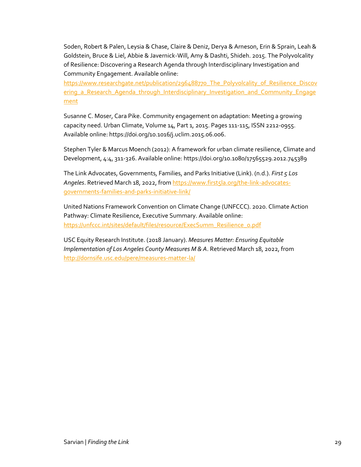Soden, Robert & Palen, Leysia & Chase, Claire & Deniz, Derya & Arneson, Erin & Sprain, Leah & Goldstein, Bruce & Liel, Abbie & Javernick-Will, Amy & Dashti, Shideh. 2015. The Polyvolcality of Resilience: Discovering a Research Agenda through Interdisciplinary Investigation and Community Engagement. Available online:

[https://www.researchgate.net/publication/296488770\\_The\\_Polyvolcality\\_of\\_Resilience\\_Discov](https://www.researchgate.net/publication/296488770_The_Polyvolcality_of_Resilience_Discovering_a_Research_Agenda_through_Interdisciplinary_Investigation_and_Community_Engagement) ering a Research Agenda through Interdisciplinary Investigation and Community Engage [ment](https://www.researchgate.net/publication/296488770_The_Polyvolcality_of_Resilience_Discovering_a_Research_Agenda_through_Interdisciplinary_Investigation_and_Community_Engagement)

Susanne C. Moser, Cara Pike. Community engagement on adaptation: Meeting a growing capacity need. Urban Climate, Volume 14, Part 1, 2015. Pages 111-115, ISSN 2212-0955. Available online: https://doi.org/10.1016/j.uclim.2015.06.006.

Stephen Tyler & Marcus Moench (2012): A framework for urban climate resilience, Climate and Development, 4:4, 311-326. Available online: https://doi.org/10.1080/17565529.2012.745389

The Link Advocates, Governments, Families, and Parks Initiative (Link). (n.d.). *First 5 Los Angeles*. Retrieved March 18, 2022, from [https://www.first5la.org/the-link-advocates](https://www.first5la.org/the-link-advocates-governments-families-and-parks-initiative-link/)[governments-families-and-parks-initiative-link/](https://www.first5la.org/the-link-advocates-governments-families-and-parks-initiative-link/)

United Nations Framework Convention on Climate Change (UNFCCC). 2020. Climate Action Pathway: Climate Resilience, Executive Summary. Available online: [https://unfccc.int/sites/default/files/resource/ExecSumm\\_Resilience\\_0.pdf](https://unfccc.int/sites/default/files/resource/ExecSumm_Resilience_0.pdf) 

<span id="page-29-0"></span>USC Equity Research Institute. (2018 January). *Measures Matter: Ensuring Equitable Implementation of Los Angeles County Measures M & A*. Retrieved March 18, 2022, from <http://dornsife.usc.edu/pere/measures-matter-la/>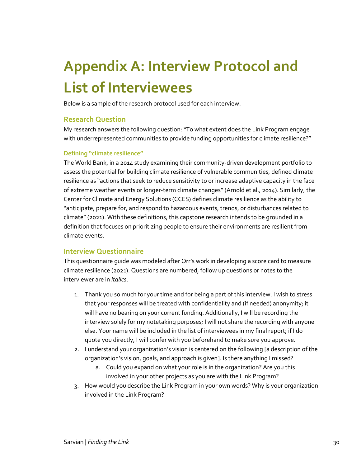# **Appendix A: Interview Protocol and List of Interviewees**

Below is a sample of the research protocol used for each interview.

### **Research Question**

My research answers the following question: "To what extent does the Link Program engage with underrepresented communities to provide funding opportunities for climate resilience?"

#### **Defining "climate resilience"**

The World Bank, in a 2014 study examining their community-driven development portfolio to assess the potential for building climate resilience of vulnerable communities, defined climate resilience as "actions that seek to reduce sensitivity to or increase adaptive capacity in the face of extreme weather events or longer-term climate changes" (Arnold et al., 2014). Similarly, the Center for Climate and Energy Solutions (CCES) defines climate resilience as the ability to "anticipate, prepare for, and respond to hazardous events, trends, or disturbances related to climate" (2021). With these definitions, this capstone research intends to be grounded in a definition that focuses on prioritizing people to ensure their environments are resilient from climate events.

### **Interview Questionnaire**

This questionnaire guide was modeled after Orr's work in developing a score card to measure climate resilience (2021). Questions are numbered, follow up questions or notes to the interviewer are in *italics*.

- 1. Thank you so much for your time and for being a part of this interview. I wish to stress that your responses will be treated with confidentiality and (if needed) anonymity; it will have no bearing on your current funding. Additionally, I will be recording the interview solely for my notetaking purposes; I will not share the recording with anyone else. Your name will be included in the list of interviewees in my final report; if I do quote you directly, I will confer with you beforehand to make sure you approve.
- 2. I understand your organization's vision is centered on the following [a description of the organization's vision, goals, and approach is given]. Is there anything I missed?
	- a. Could you expand on what your role is in the organization? Are you this involved in your other projects as you are with the Link Program?
- 3. How would you describe the Link Program in your own words? Why is your organization involved in the Link Program?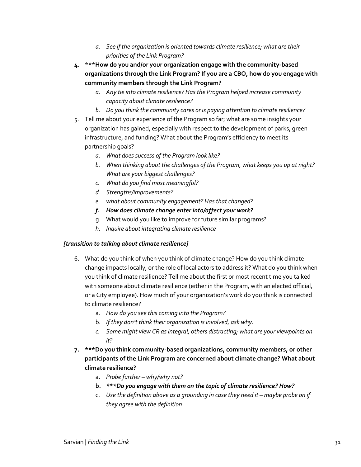- *a. See if the organization is oriented towards climate resilience; what are their priorities of the Link Program?*
- **4.** \*\*\***How do you and/or your organization engage with the community-based organizations through the Link Program? If you are a CBO, how do you engage with community members through the Link Program?**
	- *a. Any tie into climate resilience? Has the Program helped increase community capacity about climate resilience?*
	- *b. Do you think the community cares or is paying attention to climate resilience?*
- 5. Tell me about your experience of the Program so far; what are some insights your organization has gained, especially with respect to the development of parks, green infrastructure, and funding? What about the Program's efficiency to meet its partnership goals?
	- *a. What does success of the Program look like?*
	- *b. When thinking about the challenges of the Program, what keeps you up at night? What are your biggest challenges?*
	- *c. What do you find most meaningful?*
	- *d. Strengths/improvements?*
	- *e. what about community engagement? Has that changed?*
	- *f. How does climate change enter into/affect your work?*
	- g. What would you like to improve for future similar programs?
	- *h. Inquire about integrating climate resilience*

#### *[transition to talking about climate resilience]*

- 6. What do you think of when you think of climate change? How do you think climate change impacts locally, or the role of local actors to address it? What do you think when you think of climate resilience? Tell me about the first or most recent time you talked with someone about climate resilience (either in the Program, with an elected official, or a City employee). How much of your organization's work do you think is connected to climate resilience?
	- a. *How do you see this coming into the Program?*
	- b. *If they don't think their organization is involved, ask why.*
	- *c. Some might view CR as integral, others distracting; what are your viewpoints on it?*
- **7. \*\*\*Do you think community-based organizations, community members, or other participants of the Link Program are concerned about climate change? What about climate resilience?** 
	- a. *Probe further – why/why not?*
	- **b.** *\*\*\*Do you engage with them on the topic of climate resilience? How?*
	- c. *Use the definition above as a grounding in case they need it – maybe probe on if they agree with the definition.*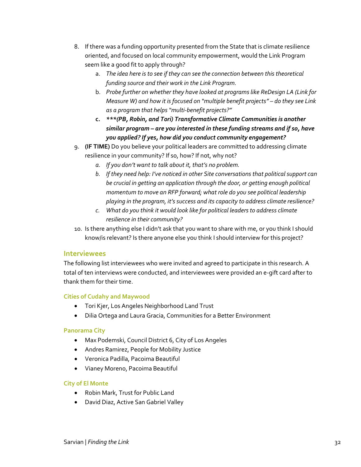- 8. If there was a funding opportunity presented from the State that is climate resilience oriented, and focused on local community empowerment, would the Link Program seem like a good fit to apply through?
	- a. *The idea here is to see if they can see the connection between this theoretical funding source and their work in the Link Program.*
	- b. *Probe further on whether they have looked at programs like ReDesign LA (Link for Measure W) and how it is focused on "multiple benefit projects" – do they see Link as a program that helps "multi-benefit projects?"*
	- **c.** *\*\*\*(PB, Robin, and Tori) Transformative Climate Communities is another similar program – are you interested in these funding streams and if so, have you applied? If yes, how did you conduct community engagement?*
- 9. **(IF TIME)** Do you believe your political leaders are committed to addressing climate resilience in your community? If so, how? If not, why not?
	- *a. If you don't want to talk about it, that's no problem.*
	- *b. If they need help: I've noticed in other Site conversations that political support can be crucial in getting an application through the door, or getting enough political momentum to move an RFP forward; what role do you see political leadership playing in the program, it's success and its capacity to address climate resilience?*
	- *c. What do you think it would look like for political leaders to address climate resilience in their community?*
- 10. Is there anything else I didn't ask that you want to share with me, or you think I should know/is relevant? Is there anyone else you think I should interview for this project?

### **Interviewees**

The following list interviewees who were invited and agreed to participate in this research. A total of ten interviews were conducted, and interviewees were provided an e-gift card after to thank them for their time.

#### **Cities of Cudahy and Maywood**

- Tori Kjer, Los Angeles Neighborhood Land Trust
- Dilia Ortega and Laura Gracia, Communities for a Better Environment

#### **Panorama City**

- Max Podemski, Council District 6, City of Los Angeles
- Andres Ramirez, People for Mobility Justice
- Veronica Padilla, Pacoima Beautiful
- Vianey Moreno, Pacoima Beautiful

#### **City of El Monte**

- Robin Mark, Trust for Public Land
- David Diaz, Active San Gabriel Valley